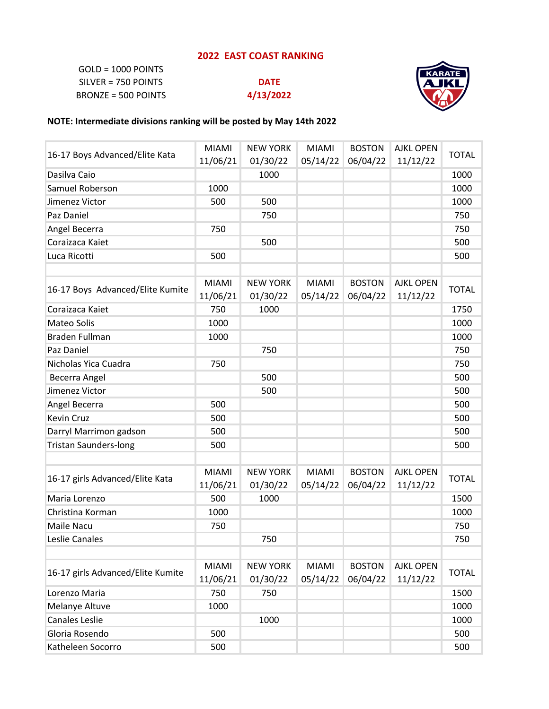## **2022 EAST COAST RANKING**

GOLD = 1000 POINTS SILVER = 750 POINTS **DATE** BRONZE = 500 POINTS **4/13/2022**



## **NOTE: Intermediate divisions ranking will be posted by May 14th 2022**

|                                   | <b>MIAMI</b> | <b>NEW YORK</b> | <b>MIAMI</b> | <b>BOSTON</b> | <b>AJKL OPEN</b> | <b>TOTAL</b> |
|-----------------------------------|--------------|-----------------|--------------|---------------|------------------|--------------|
| 16-17 Boys Advanced/Elite Kata    | 11/06/21     | 01/30/22        | 05/14/22     | 06/04/22      | 11/12/22         |              |
| Dasilva Caio                      |              | 1000            |              |               |                  | 1000         |
| Samuel Roberson                   | 1000         |                 |              |               |                  | 1000         |
| Jimenez Victor                    | 500          | 500             |              |               |                  | 1000         |
| Paz Daniel                        |              | 750             |              |               |                  | 750          |
| Angel Becerra                     | 750          |                 |              |               |                  | 750          |
| Coraizaca Kaiet                   |              | 500             |              |               |                  | 500          |
| Luca Ricotti                      | 500          |                 |              |               |                  | 500          |
|                                   |              |                 |              |               |                  |              |
|                                   | <b>MIAMI</b> | <b>NEW YORK</b> | <b>MIAMI</b> | <b>BOSTON</b> | <b>AJKL OPEN</b> | <b>TOTAL</b> |
| 16-17 Boys Advanced/Elite Kumite  | 11/06/21     | 01/30/22        | 05/14/22     | 06/04/22      | 11/12/22         |              |
| Coraizaca Kaiet                   | 750          | 1000            |              |               |                  | 1750         |
| <b>Mateo Solis</b>                | 1000         |                 |              |               |                  | 1000         |
| <b>Braden Fullman</b>             | 1000         |                 |              |               |                  | 1000         |
| Paz Daniel                        |              | 750             |              |               |                  | 750          |
| Nicholas Yica Cuadra              | 750          |                 |              |               |                  | 750          |
| Becerra Angel                     |              | 500             |              |               |                  | 500          |
| Jimenez Victor                    |              | 500             |              |               |                  | 500          |
| Angel Becerra                     | 500          |                 |              |               |                  | 500          |
| <b>Kevin Cruz</b>                 | 500          |                 |              |               |                  | 500          |
| Darryl Marrimon gadson            | 500          |                 |              |               |                  | 500          |
| <b>Tristan Saunders-long</b>      | 500          |                 |              |               |                  | 500          |
|                                   |              |                 |              |               |                  |              |
|                                   | <b>MIAMI</b> | <b>NEW YORK</b> | <b>MIAMI</b> | <b>BOSTON</b> | <b>AJKL OPEN</b> |              |
| 16-17 girls Advanced/Elite Kata   | 11/06/21     | 01/30/22        | 05/14/22     | 06/04/22      | 11/12/22         | <b>TOTAL</b> |
| Maria Lorenzo                     | 500          | 1000            |              |               |                  | 1500         |
| Christina Korman                  | 1000         |                 |              |               |                  | 1000         |
| Maile Nacu                        | 750          |                 |              |               |                  | 750          |
| Leslie Canales                    |              | 750             |              |               |                  | 750          |
|                                   |              |                 |              |               |                  |              |
| 16-17 girls Advanced/Elite Kumite | <b>MIAMI</b> | <b>NEW YORK</b> | <b>MIAMI</b> | <b>BOSTON</b> | <b>AJKL OPEN</b> | <b>TOTAL</b> |
|                                   | 11/06/21     | 01/30/22        | 05/14/22     | 06/04/22      | 11/12/22         |              |
| Lorenzo Maria                     | 750          | 750             |              |               |                  | 1500         |
| Melanye Altuve                    | 1000         |                 |              |               |                  | 1000         |
| <b>Canales Leslie</b>             |              | 1000            |              |               |                  | 1000         |
| Gloria Rosendo                    | 500          |                 |              |               |                  | 500          |
| Katheleen Socorro                 | 500          |                 |              |               |                  | 500          |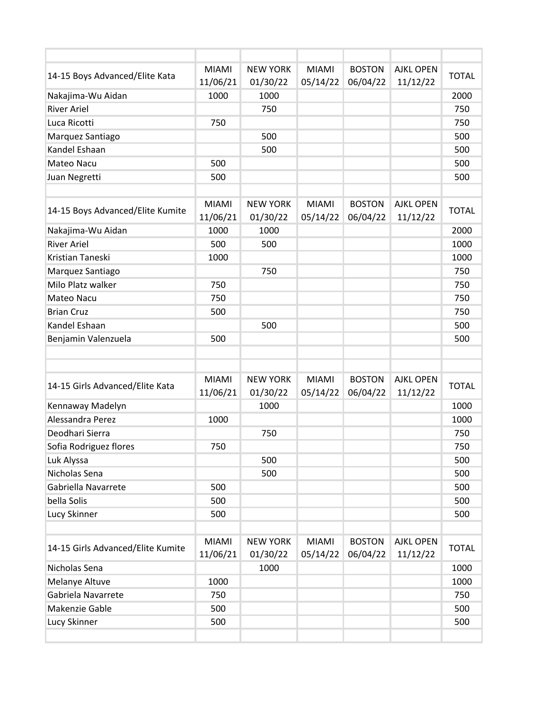| 14-15 Boys Advanced/Elite Kata    | <b>MIAMI</b>             | <b>NEW YORK</b>             | <b>MIAMI</b>             | <b>BOSTON</b>             | <b>AJKL OPEN</b>             | <b>TOTAL</b> |
|-----------------------------------|--------------------------|-----------------------------|--------------------------|---------------------------|------------------------------|--------------|
|                                   | 11/06/21                 | 01/30/22                    | 05/14/22                 | 06/04/22                  | 11/12/22                     |              |
| Nakajima-Wu Aidan                 | 1000                     | 1000                        |                          |                           |                              | 2000         |
| <b>River Ariel</b>                |                          | 750                         |                          |                           |                              | 750          |
| Luca Ricotti                      | 750                      |                             |                          |                           |                              | 750          |
| Marquez Santiago                  |                          | 500                         |                          |                           |                              | 500          |
| Kandel Eshaan                     |                          | 500                         |                          |                           |                              | 500          |
| Mateo Nacu                        | 500                      |                             |                          |                           |                              | 500          |
| Juan Negretti                     | 500                      |                             |                          |                           |                              | 500          |
| 14-15 Boys Advanced/Elite Kumite  | <b>MIAMI</b><br>11/06/21 | <b>NEW YORK</b><br>01/30/22 | <b>MIAMI</b><br>05/14/22 | <b>BOSTON</b><br>06/04/22 | <b>AJKL OPEN</b><br>11/12/22 | <b>TOTAL</b> |
| Nakajima-Wu Aidan                 | 1000                     | 1000                        |                          |                           |                              | 2000         |
| <b>River Ariel</b>                | 500                      | 500                         |                          |                           |                              | 1000         |
| Kristian Taneski                  | 1000                     |                             |                          |                           |                              | 1000         |
| Marquez Santiago                  |                          | 750                         |                          |                           |                              | 750          |
| Milo Platz walker                 | 750                      |                             |                          |                           |                              | 750          |
| <b>Mateo Nacu</b>                 | 750                      |                             |                          |                           |                              | 750          |
| <b>Brian Cruz</b>                 | 500                      |                             |                          |                           |                              | 750          |
| Kandel Eshaan                     |                          | 500                         |                          |                           |                              | 500          |
| Benjamin Valenzuela               | 500                      |                             |                          |                           |                              | 500          |
|                                   |                          |                             |                          |                           |                              |              |
|                                   |                          |                             |                          |                           |                              |              |
| 14-15 Girls Advanced/Elite Kata   | <b>MIAMI</b>             | <b>NEW YORK</b>             | <b>MIAMI</b>             | <b>BOSTON</b>             | <b>AJKL OPEN</b>             | <b>TOTAL</b> |
|                                   | 11/06/21                 | 01/30/22                    | 05/14/22                 | 06/04/22                  | 11/12/22                     |              |
| Kennaway Madelyn                  |                          | 1000                        |                          |                           |                              | 1000         |
| Alessandra Perez                  | 1000                     |                             |                          |                           |                              | 1000         |
| Deodhari Sierra                   |                          | 750                         |                          |                           |                              | 750          |
| Sofia Rodriguez flores            | 750                      |                             |                          |                           |                              | 750          |
| Luk Alyssa                        |                          | 500                         |                          |                           |                              | 500          |
| Nicholas Sena                     |                          | 500                         |                          |                           |                              | 500          |
| Gabriella Navarrete               | 500                      |                             |                          |                           |                              | 500          |
| bella Solis                       | 500                      |                             |                          |                           |                              | 500          |
| Lucy Skinner                      | 500                      |                             |                          |                           |                              | 500          |
|                                   |                          |                             |                          |                           |                              |              |
| 14-15 Girls Advanced/Elite Kumite | <b>MIAMI</b><br>11/06/21 | <b>NEW YORK</b><br>01/30/22 | MIAMI<br>05/14/22        | <b>BOSTON</b><br>06/04/22 | <b>AJKL OPEN</b><br>11/12/22 | <b>TOTAL</b> |
| Nicholas Sena                     |                          | 1000                        |                          |                           |                              | 1000         |
| Melanye Altuve                    | 1000                     |                             |                          |                           |                              | 1000         |
| Gabriela Navarrete                | 750                      |                             |                          |                           |                              | 750          |
| Makenzie Gable                    | 500                      |                             |                          |                           |                              | 500          |
| Lucy Skinner                      | 500                      |                             |                          |                           |                              | 500          |
|                                   |                          |                             |                          |                           |                              |              |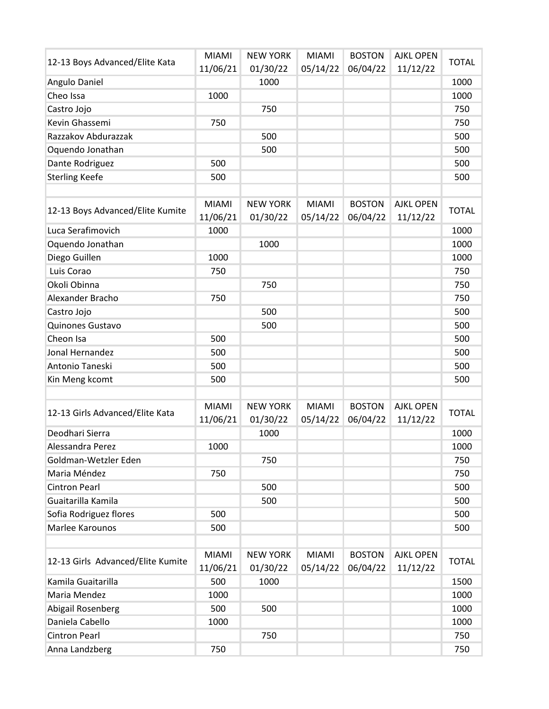| 12-13 Boys Advanced/Elite Kata    | <b>MIAMI</b>             | <b>NEW YORK</b>             | <b>MIAMI</b>             | <b>BOSTON</b>             | <b>AJKL OPEN</b>             | <b>TOTAL</b> |
|-----------------------------------|--------------------------|-----------------------------|--------------------------|---------------------------|------------------------------|--------------|
|                                   | 11/06/21                 | 01/30/22                    | 05/14/22                 | 06/04/22                  | 11/12/22                     |              |
| Angulo Daniel                     |                          | 1000                        |                          |                           |                              | 1000         |
| Cheo Issa                         | 1000                     |                             |                          |                           |                              | 1000         |
| Castro Jojo                       |                          | 750                         |                          |                           |                              | 750          |
| Kevin Ghassemi                    | 750                      |                             |                          |                           |                              | 750          |
| Razzakov Abdurazzak               |                          | 500                         |                          |                           |                              | 500          |
| Oquendo Jonathan                  |                          | 500                         |                          |                           |                              | 500          |
| Dante Rodriguez                   | 500                      |                             |                          |                           |                              | 500          |
| <b>Sterling Keefe</b>             | 500                      |                             |                          |                           |                              | 500          |
|                                   |                          |                             |                          |                           |                              |              |
| 12-13 Boys Advanced/Elite Kumite  | <b>MIAMI</b><br>11/06/21 | <b>NEW YORK</b><br>01/30/22 | <b>MIAMI</b><br>05/14/22 | <b>BOSTON</b><br>06/04/22 | <b>AJKL OPEN</b><br>11/12/22 | <b>TOTAL</b> |
| Luca Serafimovich                 | 1000                     |                             |                          |                           |                              | 1000         |
| Oquendo Jonathan                  |                          | 1000                        |                          |                           |                              | 1000         |
| Diego Guillen                     | 1000                     |                             |                          |                           |                              | 1000         |
| Luis Corao                        | 750                      |                             |                          |                           |                              | 750          |
| Okoli Obinna                      |                          | 750                         |                          |                           |                              | 750          |
| Alexander Bracho                  | 750                      |                             |                          |                           |                              | 750          |
| Castro Jojo                       |                          | 500                         |                          |                           |                              | 500          |
| Quinones Gustavo                  |                          | 500                         |                          |                           |                              | 500          |
| Cheon Isa                         | 500                      |                             |                          |                           |                              | 500          |
| Jonal Hernandez                   | 500                      |                             |                          |                           |                              | 500          |
| Antonio Taneski                   | 500                      |                             |                          |                           |                              | 500          |
| Kin Meng kcomt                    | 500                      |                             |                          |                           |                              | 500          |
|                                   |                          |                             |                          |                           |                              |              |
| 12-13 Girls Advanced/Elite Kata   | <b>MIAMI</b><br>11/06/21 | <b>NEW YORK</b><br>01/30/22 | <b>MIAMI</b><br>05/14/22 | <b>BOSTON</b><br>06/04/22 | <b>AJKL OPEN</b><br>11/12/22 | <b>TOTAL</b> |
| Deodhari Sierra                   |                          | 1000                        |                          |                           |                              | 1000         |
| Alessandra Perez                  | 1000                     |                             |                          |                           |                              | 1000         |
| Goldman-Wetzler Eden              |                          | 750                         |                          |                           |                              | 750          |
| Maria Méndez                      | 750                      |                             |                          |                           |                              | 750          |
| <b>Cintron Pearl</b>              |                          | 500                         |                          |                           |                              | 500          |
| Guaitarilla Kamila                |                          | 500                         |                          |                           |                              | 500          |
| Sofia Rodriguez flores            | 500                      |                             |                          |                           |                              | 500          |
| Marlee Karounos                   | 500                      |                             |                          |                           |                              | 500          |
|                                   |                          |                             |                          |                           |                              |              |
| 12-13 Girls Advanced/Elite Kumite | <b>MIAMI</b><br>11/06/21 | <b>NEW YORK</b><br>01/30/22 | <b>MIAMI</b><br>05/14/22 | <b>BOSTON</b><br>06/04/22 | <b>AJKL OPEN</b><br>11/12/22 | <b>TOTAL</b> |
| Kamila Guaitarilla                | 500                      | 1000                        |                          |                           |                              | 1500         |
| Maria Mendez                      | 1000                     |                             |                          |                           |                              | 1000         |
| Abigail Rosenberg                 | 500                      | 500                         |                          |                           |                              | 1000         |
| Daniela Cabello                   | 1000                     |                             |                          |                           |                              | 1000         |
| <b>Cintron Pearl</b>              |                          | 750                         |                          |                           |                              | 750          |
| Anna Landzberg                    | 750                      |                             |                          |                           |                              | 750          |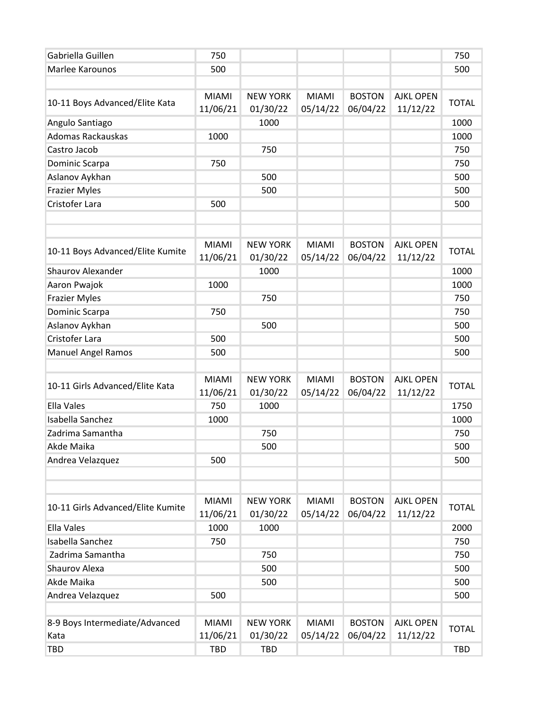| Gabriella Guillen                 | 750          |                 |              |               |                  | 750          |
|-----------------------------------|--------------|-----------------|--------------|---------------|------------------|--------------|
| Marlee Karounos                   | 500          |                 |              |               |                  | 500          |
|                                   |              |                 |              |               |                  |              |
|                                   | MIAMI        | <b>NEW YORK</b> | <b>MIAMI</b> | <b>BOSTON</b> | <b>AJKL OPEN</b> | <b>TOTAL</b> |
| 10-11 Boys Advanced/Elite Kata    | 11/06/21     | 01/30/22        | 05/14/22     | 06/04/22      | 11/12/22         |              |
| Angulo Santiago                   |              | 1000            |              |               |                  | 1000         |
| Adomas Rackauskas                 | 1000         |                 |              |               |                  | 1000         |
| Castro Jacob                      |              | 750             |              |               |                  | 750          |
| Dominic Scarpa                    | 750          |                 |              |               |                  | 750          |
| Aslanov Aykhan                    |              | 500             |              |               |                  | 500          |
| <b>Frazier Myles</b>              |              | 500             |              |               |                  | 500          |
| Cristofer Lara                    | 500          |                 |              |               |                  | 500          |
|                                   |              |                 |              |               |                  |              |
|                                   |              |                 |              |               |                  |              |
|                                   | <b>MIAMI</b> | <b>NEW YORK</b> | <b>MIAMI</b> | <b>BOSTON</b> | <b>AJKL OPEN</b> | <b>TOTAL</b> |
| 10-11 Boys Advanced/Elite Kumite  | 11/06/21     | 01/30/22        | 05/14/22     | 06/04/22      | 11/12/22         |              |
| <b>Shaurov Alexander</b>          |              | 1000            |              |               |                  | 1000         |
| Aaron Pwajok                      | 1000         |                 |              |               |                  | 1000         |
| <b>Frazier Myles</b>              |              | 750             |              |               |                  | 750          |
| Dominic Scarpa                    | 750          |                 |              |               |                  | 750          |
| Aslanov Aykhan                    |              | 500             |              |               |                  | 500          |
| Cristofer Lara                    | 500          |                 |              |               |                  | 500          |
| <b>Manuel Angel Ramos</b>         | 500          |                 |              |               |                  | 500          |
|                                   |              |                 |              |               |                  |              |
|                                   | <b>MIAMI</b> | <b>NEW YORK</b> | <b>MIAMI</b> | <b>BOSTON</b> | <b>AJKL OPEN</b> |              |
| 10-11 Girls Advanced/Elite Kata   | 11/06/21     | 01/30/22        | 05/14/22     | 06/04/22      | 11/12/22         | <b>TOTAL</b> |
| <b>Ella Vales</b>                 | 750          | 1000            |              |               |                  | 1750         |
| Isabella Sanchez                  | 1000         |                 |              |               |                  | 1000         |
| Zadrima Samantha                  |              | 750             |              |               |                  | 750          |
| Akde Maika                        |              | 500             |              |               |                  | 500          |
| Andrea Velazquez                  | 500          |                 |              |               |                  | 500          |
|                                   |              |                 |              |               |                  |              |
|                                   |              |                 |              |               |                  |              |
|                                   | <b>MIAMI</b> | <b>NEW YORK</b> | <b>MIAMI</b> | <b>BOSTON</b> | <b>AJKL OPEN</b> |              |
| 10-11 Girls Advanced/Elite Kumite | 11/06/21     | 01/30/22        | 05/14/22     | 06/04/22      | 11/12/22         | <b>TOTAL</b> |
| <b>Ella Vales</b>                 | 1000         | 1000            |              |               |                  | 2000         |
| Isabella Sanchez                  | 750          |                 |              |               |                  | 750          |
| Zadrima Samantha                  |              | 750             |              |               |                  | 750          |
| Shaurov Alexa                     |              | 500             |              |               |                  | 500          |
| Akde Maika                        |              | 500             |              |               |                  | 500          |
| Andrea Velazquez                  | 500          |                 |              |               |                  | 500          |
|                                   |              |                 |              |               |                  |              |
| 8-9 Boys Intermediate/Advanced    | <b>MIAMI</b> | <b>NEW YORK</b> | <b>MIAMI</b> | <b>BOSTON</b> | <b>AJKL OPEN</b> |              |
| Kata                              | 11/06/21     | 01/30/22        | 05/14/22     | 06/04/22      | 11/12/22         | <b>TOTAL</b> |
| <b>TBD</b>                        | <b>TBD</b>   | <b>TBD</b>      |              |               |                  | TBD          |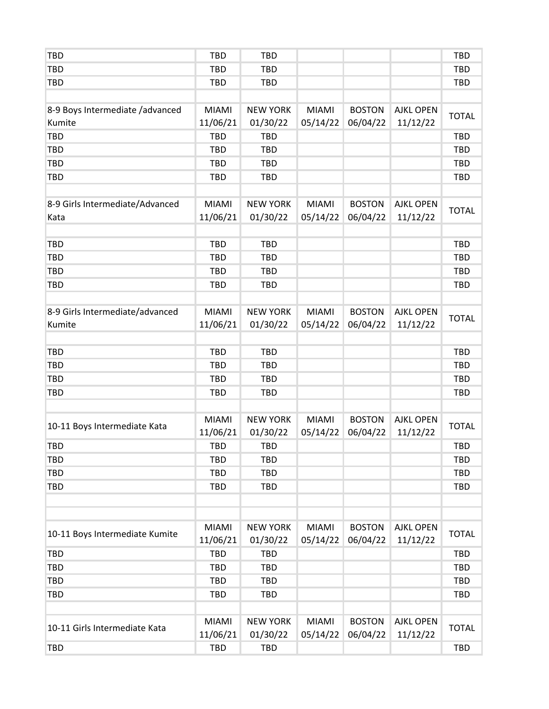| <b>TBD</b>                      | <b>TBD</b>   | <b>TBD</b>      |              |               |                  | <b>TBD</b>   |
|---------------------------------|--------------|-----------------|--------------|---------------|------------------|--------------|
| <b>TBD</b>                      | <b>TBD</b>   | <b>TBD</b>      |              |               |                  | <b>TBD</b>   |
| <b>TBD</b>                      | <b>TBD</b>   | <b>TBD</b>      |              |               |                  | <b>TBD</b>   |
|                                 |              |                 |              |               |                  |              |
| 8-9 Boys Intermediate /advanced | <b>MIAMI</b> | <b>NEW YORK</b> | <b>MIAMI</b> | <b>BOSTON</b> | <b>AJKL OPEN</b> |              |
| Kumite                          | 11/06/21     | 01/30/22        | 05/14/22     | 06/04/22      | 11/12/22         | <b>TOTAL</b> |
| <b>TBD</b>                      | <b>TBD</b>   | <b>TBD</b>      |              |               |                  | <b>TBD</b>   |
| <b>TBD</b>                      | <b>TBD</b>   | <b>TBD</b>      |              |               |                  | <b>TBD</b>   |
| <b>TBD</b>                      | <b>TBD</b>   | <b>TBD</b>      |              |               |                  | <b>TBD</b>   |
| <b>TBD</b>                      | <b>TBD</b>   | TBD             |              |               |                  | TBD          |
|                                 |              |                 |              |               |                  |              |
| 8-9 Girls Intermediate/Advanced | MIAMI        | <b>NEW YORK</b> | <b>MIAMI</b> | <b>BOSTON</b> | <b>AJKL OPEN</b> |              |
| Kata                            | 11/06/21     | 01/30/22        | 05/14/22     | 06/04/22      | 11/12/22         | <b>TOTAL</b> |
|                                 |              |                 |              |               |                  |              |
| <b>TBD</b>                      | <b>TBD</b>   | <b>TBD</b>      |              |               |                  | <b>TBD</b>   |
| <b>TBD</b>                      | <b>TBD</b>   | <b>TBD</b>      |              |               |                  | <b>TBD</b>   |
| <b>TBD</b>                      | <b>TBD</b>   | <b>TBD</b>      |              |               |                  | <b>TBD</b>   |
| <b>TBD</b>                      | <b>TBD</b>   | TBD             |              |               |                  | TBD          |
|                                 |              |                 |              |               |                  |              |
| 8-9 Girls Intermediate/advanced | MIAMI        | <b>NEW YORK</b> | <b>MIAMI</b> | <b>BOSTON</b> | <b>AJKL OPEN</b> | <b>TOTAL</b> |
| Kumite                          | 11/06/21     | 01/30/22        | 05/14/22     | 06/04/22      | 11/12/22         |              |
|                                 |              |                 |              |               |                  |              |
| <b>TBD</b>                      | <b>TBD</b>   | <b>TBD</b>      |              |               |                  | <b>TBD</b>   |
| <b>TBD</b>                      | <b>TBD</b>   | <b>TBD</b>      |              |               |                  | <b>TBD</b>   |
| <b>TBD</b>                      | <b>TBD</b>   | <b>TBD</b>      |              |               |                  | <b>TBD</b>   |
| <b>TBD</b>                      | <b>TBD</b>   | <b>TBD</b>      |              |               |                  | TBD          |
|                                 |              |                 |              |               |                  |              |
|                                 | <b>MIAMI</b> | <b>NEW YORK</b> | <b>MIAMI</b> | <b>BOSTON</b> | <b>AJKL OPEN</b> | <b>TOTAL</b> |
| 10-11 Boys Intermediate Kata    | 11/06/21     | 01/30/22        | 05/14/22     | 06/04/22      | 11/12/22         |              |
| <b>TBD</b>                      | <b>TBD</b>   | TBD             |              |               |                  | TBD          |
| <b>TBD</b>                      | <b>TBD</b>   | <b>TBD</b>      |              |               |                  | <b>TBD</b>   |
| <b>TBD</b>                      | <b>TBD</b>   | <b>TBD</b>      |              |               |                  | <b>TBD</b>   |
| <b>TBD</b>                      | <b>TBD</b>   | <b>TBD</b>      |              |               |                  | <b>TBD</b>   |
|                                 |              |                 |              |               |                  |              |
|                                 |              |                 |              |               |                  |              |
| 10-11 Boys Intermediate Kumite  | <b>MIAMI</b> | <b>NEW YORK</b> | <b>MIAMI</b> | <b>BOSTON</b> | <b>AJKL OPEN</b> | <b>TOTAL</b> |
|                                 | 11/06/21     | 01/30/22        | 05/14/22     | 06/04/22      | 11/12/22         |              |
| <b>TBD</b>                      | <b>TBD</b>   | <b>TBD</b>      |              |               |                  | <b>TBD</b>   |
| <b>TBD</b>                      | <b>TBD</b>   | <b>TBD</b>      |              |               |                  | <b>TBD</b>   |
| <b>TBD</b>                      | <b>TBD</b>   | <b>TBD</b>      |              |               |                  | <b>TBD</b>   |
| <b>TBD</b>                      | <b>TBD</b>   | <b>TBD</b>      |              |               |                  | <b>TBD</b>   |
|                                 |              |                 |              |               |                  |              |
| 10-11 Girls Intermediate Kata   | <b>MIAMI</b> | <b>NEW YORK</b> | <b>MIAMI</b> | <b>BOSTON</b> | <b>AJKL OPEN</b> | <b>TOTAL</b> |
|                                 | 11/06/21     | 01/30/22        | 05/14/22     | 06/04/22      | 11/12/22         |              |
| <b>TBD</b>                      | <b>TBD</b>   | <b>TBD</b>      |              |               |                  | <b>TBD</b>   |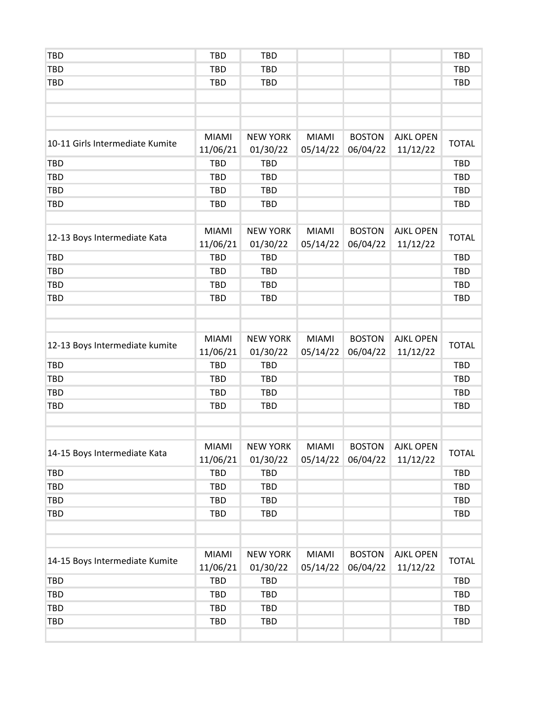| <b>TBD</b>                      | <b>TBD</b>               | <b>TBD</b>                  |                          |                           |                              | <b>TBD</b>   |
|---------------------------------|--------------------------|-----------------------------|--------------------------|---------------------------|------------------------------|--------------|
| <b>TBD</b>                      | <b>TBD</b>               | <b>TBD</b>                  |                          |                           |                              | <b>TBD</b>   |
| <b>TBD</b>                      | <b>TBD</b>               | <b>TBD</b>                  |                          |                           |                              | <b>TBD</b>   |
|                                 |                          |                             |                          |                           |                              |              |
|                                 |                          |                             |                          |                           |                              |              |
|                                 |                          |                             |                          |                           |                              |              |
| 10-11 Girls Intermediate Kumite | <b>MIAMI</b><br>11/06/21 | <b>NEW YORK</b><br>01/30/22 | <b>MIAMI</b><br>05/14/22 | <b>BOSTON</b><br>06/04/22 | <b>AJKL OPEN</b><br>11/12/22 | <b>TOTAL</b> |
| <b>TBD</b>                      | <b>TBD</b>               | <b>TBD</b>                  |                          |                           |                              | <b>TBD</b>   |
| <b>TBD</b>                      | <b>TBD</b>               | <b>TBD</b>                  |                          |                           |                              | <b>TBD</b>   |
| <b>TBD</b>                      | <b>TBD</b>               | <b>TBD</b>                  |                          |                           |                              | <b>TBD</b>   |
| <b>TBD</b>                      | <b>TBD</b>               | <b>TBD</b>                  |                          |                           |                              | <b>TBD</b>   |
|                                 |                          |                             |                          |                           |                              |              |
| 12-13 Boys Intermediate Kata    | <b>MIAMI</b><br>11/06/21 | <b>NEW YORK</b><br>01/30/22 | <b>MIAMI</b><br>05/14/22 | <b>BOSTON</b><br>06/04/22 | <b>AJKL OPEN</b><br>11/12/22 | <b>TOTAL</b> |
| <b>TBD</b>                      | <b>TBD</b>               | <b>TBD</b>                  |                          |                           |                              | <b>TBD</b>   |
| <b>TBD</b>                      | <b>TBD</b>               | <b>TBD</b>                  |                          |                           |                              | <b>TBD</b>   |
| <b>TBD</b>                      | <b>TBD</b>               | <b>TBD</b>                  |                          |                           |                              | <b>TBD</b>   |
| <b>TBD</b>                      | <b>TBD</b>               | <b>TBD</b>                  |                          |                           |                              | <b>TBD</b>   |
|                                 |                          |                             |                          |                           |                              |              |
|                                 |                          |                             |                          |                           |                              |              |
| 12-13 Boys Intermediate kumite  | <b>MIAMI</b><br>11/06/21 | <b>NEW YORK</b><br>01/30/22 | <b>MIAMI</b><br>05/14/22 | <b>BOSTON</b><br>06/04/22 | <b>AJKL OPEN</b><br>11/12/22 | <b>TOTAL</b> |
| <b>TBD</b>                      | <b>TBD</b>               | <b>TBD</b>                  |                          |                           |                              | <b>TBD</b>   |
| <b>TBD</b>                      | <b>TBD</b>               | <b>TBD</b>                  |                          |                           |                              | <b>TBD</b>   |
| <b>TBD</b>                      | <b>TBD</b>               | <b>TBD</b>                  |                          |                           |                              | <b>TBD</b>   |
| <b>TBD</b>                      | <b>TBD</b>               | <b>TBD</b>                  |                          |                           |                              | <b>TBD</b>   |
|                                 |                          |                             |                          |                           |                              |              |
|                                 |                          |                             |                          |                           |                              |              |
| 14-15 Boys Intermediate Kata    | <b>MIAMI</b><br>11/06/21 | <b>NEW YORK</b><br>01/30/22 | <b>MIAMI</b><br>05/14/22 | <b>BOSTON</b><br>06/04/22 | <b>AJKL OPEN</b><br>11/12/22 | <b>TOTAL</b> |
| <b>TBD</b>                      | <b>TBD</b>               | <b>TBD</b>                  |                          |                           |                              | <b>TBD</b>   |
| <b>TBD</b>                      | <b>TBD</b>               | <b>TBD</b>                  |                          |                           |                              | <b>TBD</b>   |
| <b>TBD</b>                      | <b>TBD</b>               | <b>TBD</b>                  |                          |                           |                              | <b>TBD</b>   |
| <b>TBD</b>                      | <b>TBD</b>               | <b>TBD</b>                  |                          |                           |                              | <b>TBD</b>   |
|                                 |                          |                             |                          |                           |                              |              |
|                                 |                          |                             |                          |                           |                              |              |
| 14-15 Boys Intermediate Kumite  | <b>MIAMI</b><br>11/06/21 | <b>NEW YORK</b><br>01/30/22 | <b>MIAMI</b><br>05/14/22 | <b>BOSTON</b><br>06/04/22 | <b>AJKL OPEN</b><br>11/12/22 | <b>TOTAL</b> |
| <b>TBD</b>                      | <b>TBD</b>               | <b>TBD</b>                  |                          |                           |                              | <b>TBD</b>   |
| <b>TBD</b>                      | <b>TBD</b>               | <b>TBD</b>                  |                          |                           |                              | <b>TBD</b>   |
| <b>TBD</b>                      | <b>TBD</b>               | <b>TBD</b>                  |                          |                           |                              | <b>TBD</b>   |
| <b>TBD</b>                      | <b>TBD</b>               | <b>TBD</b>                  |                          |                           |                              | <b>TBD</b>   |
|                                 |                          |                             |                          |                           |                              |              |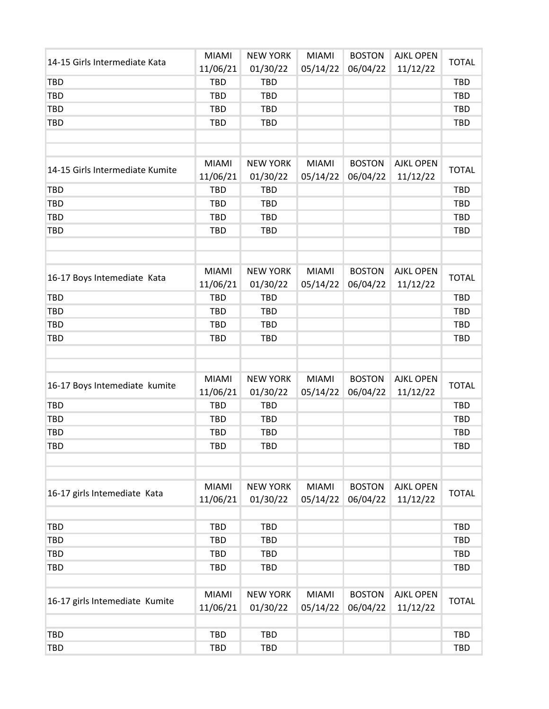| 14-15 Girls Intermediate Kata   | <b>MIAMI</b> | <b>NEW YORK</b> | <b>MIAMI</b> | <b>BOSTON</b> | <b>AJKL OPEN</b> | <b>TOTAL</b> |
|---------------------------------|--------------|-----------------|--------------|---------------|------------------|--------------|
|                                 | 11/06/21     | 01/30/22        | 05/14/22     | 06/04/22      | 11/12/22         |              |
| <b>TBD</b>                      | <b>TBD</b>   | <b>TBD</b>      |              |               |                  | <b>TBD</b>   |
| <b>TBD</b>                      | <b>TBD</b>   | <b>TBD</b>      |              |               |                  | <b>TBD</b>   |
| <b>TBD</b>                      | <b>TBD</b>   | <b>TBD</b>      |              |               |                  | <b>TBD</b>   |
| <b>TBD</b>                      | <b>TBD</b>   | <b>TBD</b>      |              |               |                  | <b>TBD</b>   |
|                                 |              |                 |              |               |                  |              |
|                                 |              |                 |              |               |                  |              |
| 14-15 Girls Intermediate Kumite | <b>MIAMI</b> | <b>NEW YORK</b> | <b>MIAMI</b> | <b>BOSTON</b> | <b>AJKL OPEN</b> | <b>TOTAL</b> |
|                                 | 11/06/21     | 01/30/22        | 05/14/22     | 06/04/22      | 11/12/22         |              |
| <b>TBD</b>                      | <b>TBD</b>   | <b>TBD</b>      |              |               |                  | <b>TBD</b>   |
| <b>TBD</b>                      | <b>TBD</b>   | <b>TBD</b>      |              |               |                  | <b>TBD</b>   |
| <b>TBD</b>                      | <b>TBD</b>   | <b>TBD</b>      |              |               |                  | <b>TBD</b>   |
| <b>TBD</b>                      | <b>TBD</b>   | <b>TBD</b>      |              |               |                  | <b>TBD</b>   |
|                                 |              |                 |              |               |                  |              |
|                                 |              |                 |              |               |                  |              |
| 16-17 Boys Intemediate Kata     | <b>MIAMI</b> | <b>NEW YORK</b> | <b>MIAMI</b> | <b>BOSTON</b> | <b>AJKL OPEN</b> | <b>TOTAL</b> |
|                                 | 11/06/21     | 01/30/22        | 05/14/22     | 06/04/22      | 11/12/22         |              |
| <b>TBD</b>                      | <b>TBD</b>   | <b>TBD</b>      |              |               |                  | <b>TBD</b>   |
| <b>TBD</b>                      | <b>TBD</b>   | <b>TBD</b>      |              |               |                  | <b>TBD</b>   |
| <b>TBD</b>                      | <b>TBD</b>   | <b>TBD</b>      |              |               |                  | <b>TBD</b>   |
| <b>TBD</b>                      | <b>TBD</b>   | <b>TBD</b>      |              |               |                  | <b>TBD</b>   |
|                                 |              |                 |              |               |                  |              |
|                                 |              |                 |              |               |                  |              |
| 16-17 Boys Intemediate kumite   | <b>MIAMI</b> | <b>NEW YORK</b> | <b>MIAMI</b> | <b>BOSTON</b> | <b>AJKL OPEN</b> | <b>TOTAL</b> |
|                                 | 11/06/21     | 01/30/22        | 05/14/22     | 06/04/22      | 11/12/22         |              |
| <b>TBD</b>                      | <b>TBD</b>   | <b>TBD</b>      |              |               |                  | <b>TBD</b>   |
| <b>TBD</b>                      | <b>TBD</b>   | <b>TBD</b>      |              |               |                  | <b>TBD</b>   |
| <b>TBD</b>                      | <b>TBD</b>   | <b>TBD</b>      |              |               |                  | <b>TBD</b>   |
| <b>TBD</b>                      | <b>TBD</b>   | <b>TBD</b>      |              |               |                  | <b>TBD</b>   |
|                                 |              |                 |              |               |                  |              |
|                                 |              |                 |              |               |                  |              |
| 16-17 girls Intemediate Kata    | <b>MIAMI</b> | <b>NEW YORK</b> | <b>MIAMI</b> | <b>BOSTON</b> | <b>AJKL OPEN</b> | <b>TOTAL</b> |
|                                 | 11/06/21     | 01/30/22        | 05/14/22     | 06/04/22      | 11/12/22         |              |
|                                 | <b>TBD</b>   | <b>TBD</b>      |              |               |                  | <b>TBD</b>   |
| <b>TBD</b>                      |              |                 |              |               |                  |              |
| <b>TBD</b>                      | <b>TBD</b>   | <b>TBD</b>      |              |               |                  | <b>TBD</b>   |
| <b>TBD</b>                      | <b>TBD</b>   | <b>TBD</b>      |              |               |                  | <b>TBD</b>   |
| <b>TBD</b>                      | <b>TBD</b>   | <b>TBD</b>      |              |               |                  | <b>TBD</b>   |
|                                 | <b>MIAMI</b> | <b>NEW YORK</b> | <b>MIAMI</b> | <b>BOSTON</b> | <b>AJKL OPEN</b> |              |
| 16-17 girls Intemediate Kumite  | 11/06/21     | 01/30/22        | 05/14/22     | 06/04/22      | 11/12/22         | <b>TOTAL</b> |
|                                 |              |                 |              |               |                  |              |
| <b>TBD</b>                      | <b>TBD</b>   | <b>TBD</b>      |              |               |                  | <b>TBD</b>   |
| <b>TBD</b>                      | <b>TBD</b>   | <b>TBD</b>      |              |               |                  | <b>TBD</b>   |
|                                 |              |                 |              |               |                  |              |